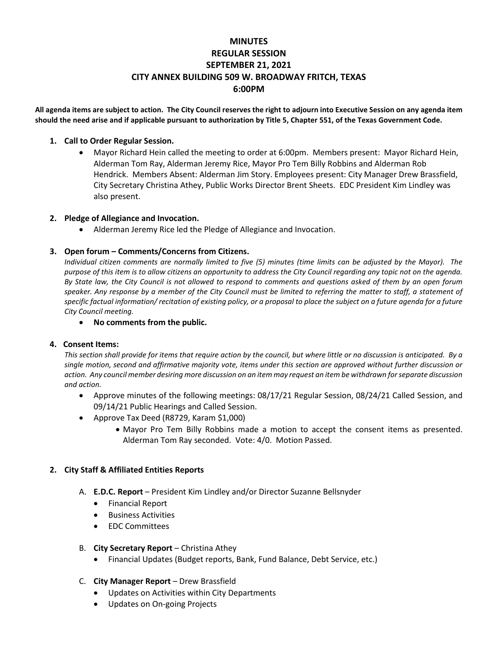# **MINUTES REGULAR SESSION SEPTEMBER 21, 2021 CITY ANNEX BUILDING 509 W. BROADWAY FRITCH, TEXAS 6:00PM**

**All agenda items are subject to action. The City Council reserves the right to adjourn into Executive Session on any agenda item should the need arise and if applicable pursuant to authorization by Title 5, Chapter 551, of the Texas Government Code.**

### **1. Call to Order Regular Session.**

• Mayor Richard Hein called the meeting to order at 6:00pm.Members present: Mayor Richard Hein, Alderman Tom Ray, Alderman Jeremy Rice, Mayor Pro Tem Billy Robbins and Alderman Rob Hendrick. Members Absent: Alderman Jim Story. Employees present: City Manager Drew Brassfield, City Secretary Christina Athey, Public Works Director Brent Sheets. EDC President Kim Lindley was also present.

### **2. Pledge of Allegiance and Invocation.**

• Alderman Jeremy Rice led the Pledge of Allegiance and Invocation.

## **3. Open forum – Comments/Concerns from Citizens.**

*Individual citizen comments are normally limited to five (5) minutes (time limits can be adjusted by the Mayor). The purpose of this item is to allow citizens an opportunity to address the City Council regarding any topic not on the agenda. By State law, the City Council is not allowed to respond to comments and questions asked of them by an open forum speaker. Any response by a member of the City Council must be limited to referring the matter to staff, a statement of specific factual information/ recitation of existing policy, or a proposal to place the subject on a future agenda for a future City Council meeting.*

• **No comments from the public.**

### **4. Consent Items:**

*This section shall provide for items that require action by the council, but where little or no discussion is anticipated. By a single motion, second and affirmative majority vote, items under this section are approved without further discussion or action. Any council member desiring more discussion on an item may request an item be withdrawn for separate discussion and action.*

- Approve minutes of the following meetings: 08/17/21 Regular Session, 08/24/21 Called Session, and 09/14/21 Public Hearings and Called Session.
- Approve Tax Deed (R8729, Karam \$1,000)
	- Mayor Pro Tem Billy Robbins made a motion to accept the consent items as presented. Alderman Tom Ray seconded. Vote: 4/0. Motion Passed.

### **2. City Staff & Affiliated Entities Reports**

- A. **E.D.C. Report** President Kim Lindley and/or Director Suzanne Bellsnyder
	- Financial Report
	- Business Activities
	- EDC Committees

### B. **City Secretary Report** – Christina Athey

- Financial Updates (Budget reports, Bank, Fund Balance, Debt Service, etc.)
- C. **City Manager Report** Drew Brassfield
	- Updates on Activities within City Departments
	- Updates on On-going Projects